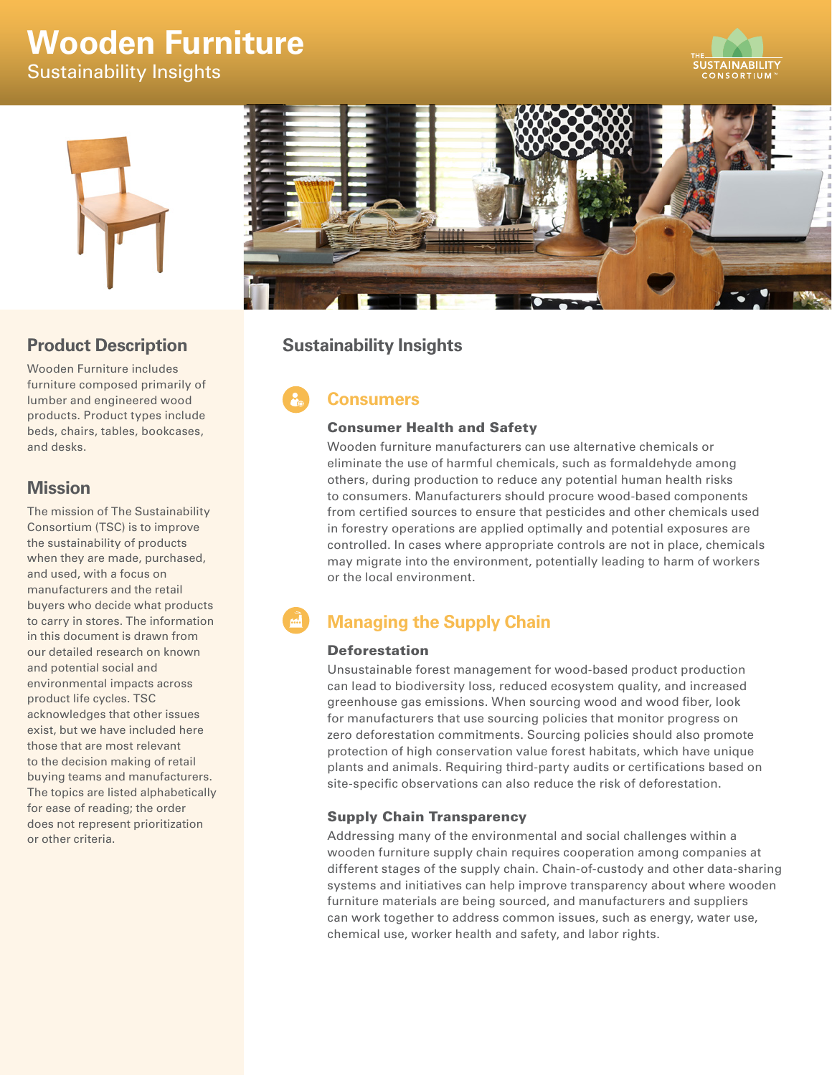# **Wooden Furniture**

Sustainability Insights





## **Product Description**

Wooden Furniture includes furniture composed primarily of lumber and engineered wood products. Product types include beds, chairs, tables, bookcases, and desks.

# **Mission**

The mission of The Sustainability Consortium (TSC) is to improve the sustainability of products when they are made, purchased, and used, with a focus on manufacturers and the retail buyers who decide what products to carry in stores. The information in this document is drawn from our detailed research on known and potential social and environmental impacts across product life cycles. TSC acknowledges that other issues exist, but we have included here those that are most relevant to the decision making of retail buying teams and manufacturers. The topics are listed alphabetically for ease of reading; the order does not represent prioritization or other criteria.



# **Sustainability Insights**

# **Consumers**

## Consumer Health and Safety

Wooden furniture manufacturers can use alternative chemicals or eliminate the use of harmful chemicals, such as formaldehyde among others, during production to reduce any potential human health risks to consumers. Manufacturers should procure wood-based components from certified sources to ensure that pesticides and other chemicals used in forestry operations are applied optimally and potential exposures are controlled. In cases where appropriate controls are not in place, chemicals may migrate into the environment, potentially leading to harm of workers or the local environment.

# **Managing the Supply Chain**

### Deforestation

Unsustainable forest management for wood-based product production can lead to biodiversity loss, reduced ecosystem quality, and increased greenhouse gas emissions. When sourcing wood and wood fiber, look for manufacturers that use sourcing policies that monitor progress on zero deforestation commitments. Sourcing policies should also promote protection of high conservation value forest habitats, which have unique plants and animals. Requiring third-party audits or certifications based on site-specific observations can also reduce the risk of deforestation.

## Supply Chain Transparency

Addressing many of the environmental and social challenges within a wooden furniture supply chain requires cooperation among companies at different stages of the supply chain. Chain-of-custody and other data-sharing systems and initiatives can help improve transparency about where wooden furniture materials are being sourced, and manufacturers and suppliers can work together to address common issues, such as energy, water use, chemical use, worker health and safety, and labor rights.